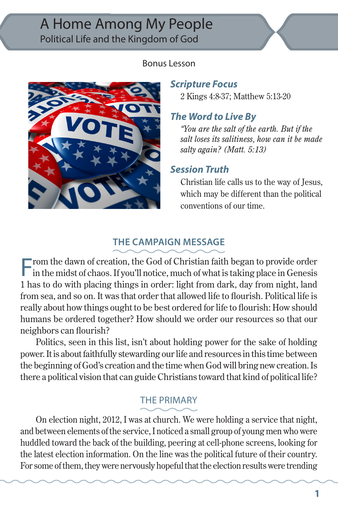# A Home Among My People Political Life and the Kingdom of God

#### Bonus Lesson



#### *Scripture Focus*

2 Kings 4:8-37; Matthew 5:13-20

## *The Word to Live By*

*"You are the salt of the earth. But if the salt loses its salitiness, how can it be made salty again? (Matt. 5:13)*

#### *Session Truth*

Christian life calls us to the way of Jesus, which may be different than the political conventions of our time.

## **THE CAMPAIGN MESSAGE**

From the dawn of creation, the God of Christian faith began to provide order in the midst of chaos. If you'll notice, much of what is taking place in Genesis 1 has to do with placing things in order: light from dark, day from night, land from sea, and so on. It was that order that allowed life to flourish. Political life is really about how things ought to be best ordered for life to flourish: How should humans be ordered together? How should we order our resources so that our neighbors can flourish?

Politics, seen in this list, isn't about holding power for the sake of holding power. It is about faithfully stewarding our life and resources in this time between the beginning of God's creation and the time when God will bring new creation. Is there a political vision that can guide Christians toward that kind of political life?

## THE PRIMARY

On election night, 2012, I was at church. We were holding a service that night, and between elements of the service, I noticed a small group of young men who were huddled toward the back of the building, peering at cell-phone screens, looking for the latest election information. On the line was the political future of their country. For some of them, they were nervously hopeful that the election results were trending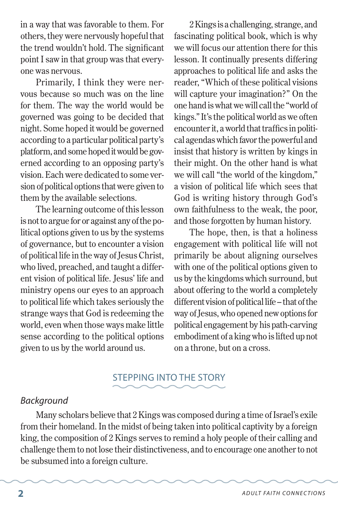in a way that was favorable to them. For others, they were nervously hopeful that the trend wouldn't hold. The significant point I saw in that group was that everyone was nervous.

Primarily, I think they were nervous because so much was on the line for them. The way the world would be governed was going to be decided that night. Some hoped it would be governed according to a particular political party's platform, and some hoped it would be governed according to an opposing party's vision. Each were dedicated to some version of political options that were given to them by the available selections.

The learning outcome of this lesson is not to argue for or against any of the political options given to us by the systems of governance, but to encounter a vision of political life in the way of Jesus Christ, who lived, preached, and taught a different vision of political life. Jesus' life and ministry opens our eyes to an approach to political life which takes seriously the strange ways that God is redeeming the world, even when those ways make little sense according to the political options given to us by the world around us.

2 Kings is a challenging, strange, and fascinating political book, which is why we will focus our attention there for this lesson. It continually presents differing approaches to political life and asks the reader, "Which of these political visions will capture your imagination?" On the one hand is what we will call the "world of kings." It's the political world as we often encounter it, a world that traffics in political agendas which favor the powerful and insist that history is written by kings in their might. On the other hand is what we will call "the world of the kingdom," a vision of political life which sees that God is writing history through God's own faithfulness to the weak, the poor, and those forgotten by human history.

The hope, then, is that a holiness engagement with political life will not primarily be about aligning ourselves with one of the political options given to us by the kingdoms which surround, but about offering to the world a completely different vision of political life – that of the way of Jesus, who opened new options for political engagement by his path-carving embodiment of a king who is lifted up not on a throne, but on a cross.

## STEPPING INTO THE STORY

#### *Background*

Many scholars believe that 2 Kings was composed during a time of Israel's exile from their homeland. In the midst of being taken into political captivity by a foreign king, the composition of 2 Kings serves to remind a holy people of their calling and challenge them to not lose their distinctiveness, and to encourage one another to not be subsumed into a foreign culture.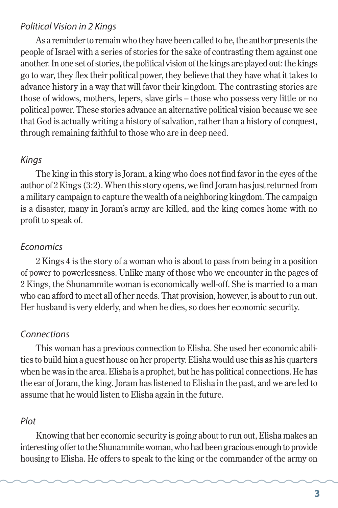#### *Political Vision in 2 Kings*

As a reminder to remain who they have been called to be, the author presents the people of Israel with a series of stories for the sake of contrasting them against one another. In one set of stories, the political vision of the kings are played out: the kings go to war, they flex their political power, they believe that they have what it takes to advance history in a way that will favor their kingdom. The contrasting stories are those of widows, mothers, lepers, slave girls – those who possess very little or no political power. These stories advance an alternative political vision because we see that God is actually writing a history of salvation, rather than a history of conquest, through remaining faithful to those who are in deep need.

#### *Kings*

The king in this story is Joram, a king who does not find favor in the eyes of the author of 2 Kings (3:2). When this story opens, we find Joram has just returned from a military campaign to capture the wealth of a neighboring kingdom. The campaign is a disaster, many in Joram's army are killed, and the king comes home with no profit to speak of.

#### *Economics*

2 Kings 4 is the story of a woman who is about to pass from being in a position of power to powerlessness. Unlike many of those who we encounter in the pages of 2 Kings, the Shunammite woman is economically well-off. She is married to a man who can afford to meet all of her needs. That provision, however, is about to run out. Her husband is very elderly, and when he dies, so does her economic security.

#### *Connections*

This woman has a previous connection to Elisha. She used her economic abilities to build him a guest house on her property. Elisha would use this as his quarters when he was in the area. Elisha is a prophet, but he has political connections. He has the ear of Joram, the king. Joram has listened to Elisha in the past, and we are led to assume that he would listen to Elisha again in the future.

#### *Plot*

Knowing that her economic security is going about to run out, Elisha makes an interesting offer to the Shunammite woman, who had been gracious enough to provide housing to Elisha. He offers to speak to the king or the commander of the army on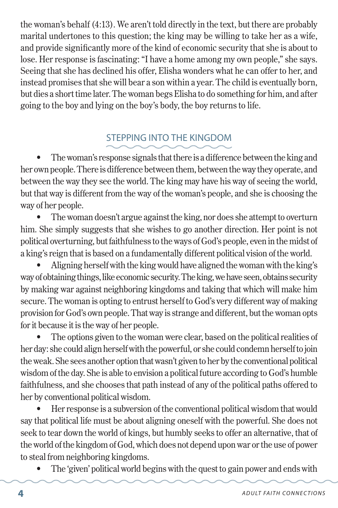the woman's behalf (4:13). We aren't told directly in the text, but there are probably marital undertones to this question; the king may be willing to take her as a wife, and provide significantly more of the kind of economic security that she is about to lose. Her response is fascinating: "I have a home among my own people," she says. Seeing that she has declined his offer, Elisha wonders what he can offer to her, and instead promises that she will bear a son within a year. The child is eventually born, but dies a short time later. The woman begs Elisha to do something for him, and after going to the boy and lying on the boy's body, the boy returns to life.

# STEPPING INTO THE KINGDOM

The woman's response signals that there is a difference between the king and her own people. There is difference between them, between the way they operate, and between the way they see the world. The king may have his way of seeing the world, but that way is different from the way of the woman's people, and she is choosing the way of her people.

The woman doesn't argue against the king, nor does she attempt to overturn him. She simply suggests that she wishes to go another direction. Her point is not political overturning, but faithfulness to the ways of God's people, even in the midst of a king's reign that is based on a fundamentally different political vision of the world.

Aligning herself with the king would have aligned the woman with the king's way of obtaining things, like economic security. The king, we have seen, obtains security by making war against neighboring kingdoms and taking that which will make him secure. The woman is opting to entrust herself to God's very different way of making provision for God's own people. That way is strange and different, but the woman opts for it because it is the way of her people.

The options given to the woman were clear, based on the political realities of her day: she could align herself with the powerful, or she could condemn herself to join the weak. She sees another option that wasn't given to her by the conventional political wisdom of the day. She is able to envision a political future according to God's humble faithfulness, and she chooses that path instead of any of the political paths offered to her by conventional political wisdom.

Her response is a subversion of the conventional political wisdom that would say that political life must be about aligning oneself with the powerful. She does not seek to tear down the world of kings, but humbly seeks to offer an alternative, that of the world of the kingdom of God, which does not depend upon war or the use of power to steal from neighboring kingdoms.

The 'given' political world begins with the quest to gain power and ends with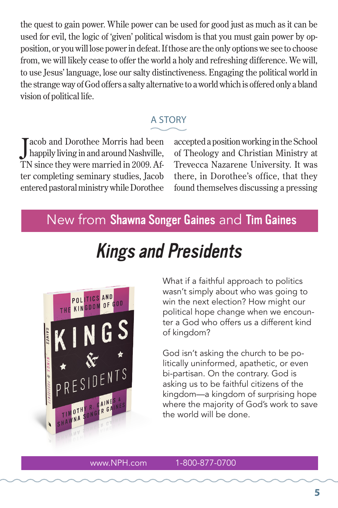the quest to gain power. While power can be used for good just as much as it can be used for evil, the logic of 'given' political wisdom is that you must gain power by opposition, or you will lose power in defeat. If those are the only options we see to choose from, we will likely cease to offer the world a holy and refreshing difference. We will, to use Jesus' language, lose our salty distinctiveness. Engaging the political world in the strange way of God offers a salty alternative to a world which is offered only a bland vision of political life.

## A STORY

J acob and Dorothee Morris had been happily living in and around Nashville, TN since they were married in 2009. After completing seminary studies, Jacob entered pastoral ministry while Dorothee

accepted a position working in the School of Theology and Christian Ministry at Trevecca Nazarene University. It was there, in Dorothee's office, that they found themselves discussing a pressing

# New from Shawna Songer Gaines and Tim Gaines

# Kings and Presidents



What if a faithful approach to politics wasn't simply about who was going to win the next election? How might our political hope change when we encounter a God who offers us a different kind of kingdom?

God isn't asking the church to be politically uninformed, apathetic, or even bi-partisan. On the contrary. God is asking us to be faithful citizens of the kingdom—a kingdom of surprising hope where the majority of God's work to save the world will be done.

#### www.NPH.com 1-800-877-0700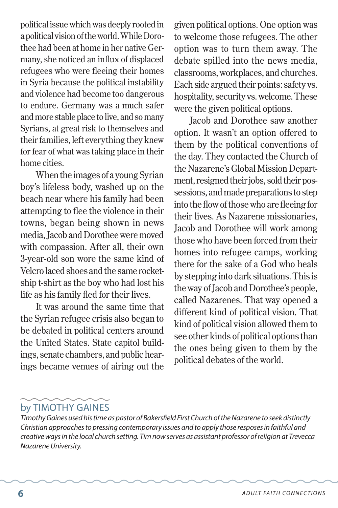political issue which was deeply rooted in a political vision of the world. While Dorothee had been at home in her native Germany, she noticed an influx of displaced refugees who were fleeing their homes in Syria because the political instability and violence had become too dangerous to endure. Germany was a much safer and more stable place to live, and so many Syrians, at great risk to themselves and their families, left everything they knew for fear of what was taking place in their home cities.

When the images of a young Syrian boy's lifeless body, washed up on the beach near where his family had been attempting to flee the violence in their towns, began being shown in news media, Jacob and Dorothee were moved with compassion. After all, their own 3-year-old son wore the same kind of Velcro laced shoes and the same rocketship t-shirt as the boy who had lost his life as his family fled for their lives.

It was around the same time that the Syrian refugee crisis also began to be debated in political centers around the United States. State capitol buildings, senate chambers, and public hearings became venues of airing out the given political options. One option was to welcome those refugees. The other option was to turn them away. The debate spilled into the news media, classrooms, workplaces, and churches. Each side argued their points: safety vs. hospitality, security vs. welcome. These were the given political options.

Jacob and Dorothee saw another option. It wasn't an option offered to them by the political conventions of the day. They contacted the Church of the Nazarene's Global Mission Department, resigned their jobs, sold their possessions, and made preparations to step into the flow of those who are fleeing for their lives. As Nazarene missionaries, Jacob and Dorothee will work among those who have been forced from their homes into refugee camps, working there for the sake of a God who heals by stepping into dark situations. This is the way of Jacob and Dorothee's people, called Nazarenes. That way opened a different kind of political vision. That kind of political vision allowed them to see other kinds of political options than the ones being given to them by the political debates of the world.

## by TIMOTHY GAINES

*Timothy Gaines used his time as pastor of Bakersfield First Church of the Nazarene to seek distinctly Christian approaches to pressing contemporary issues and to apply those resposes in faithful and creative ways in the local church setting. Tim now serves as assistant professor of religion at Trevecca Nazarene University.*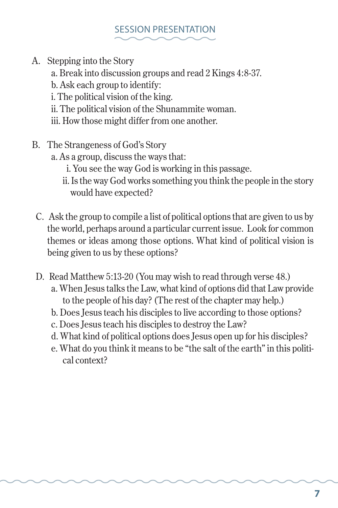## SESSION PRESENTATION

- A. Stepping into the Story
	- a. Break into discussion groups and read 2 Kings 4:8-37.
	- b. Ask each group to identify:
	- i. The political vision of the king.
	- ii. The political vision of the Shunammite woman.
	- iii. How those might differ from one another.
- B. The Strangeness of God's Story
	- a. As a group, discuss the ways that:
		- i. You see the way God is working in this passage.
		- ii. Is the way God works something you think the people in the story would have expected?
	- C. Ask the group to compile a list of political options that are given to us by the world, perhaps around a particular current issue. Look for common themes or ideas among those options. What kind of political vision is being given to us by these options?
	- D. Read Matthew 5:13-20 (You may wish to read through verse 48.)
		- a. When Jesus talks the Law, what kind of options did that Law provide to the people of his day? (The rest of the chapter may help.)
		- b. Does Jesus teach his disciples to live according to those options?
		- c. Does Jesus teach his disciples to destroy the Law?
		- d. What kind of political options does Jesus open up for his disciples?
		- e. What do you think it means to be "the salt of the earth" in this political context?